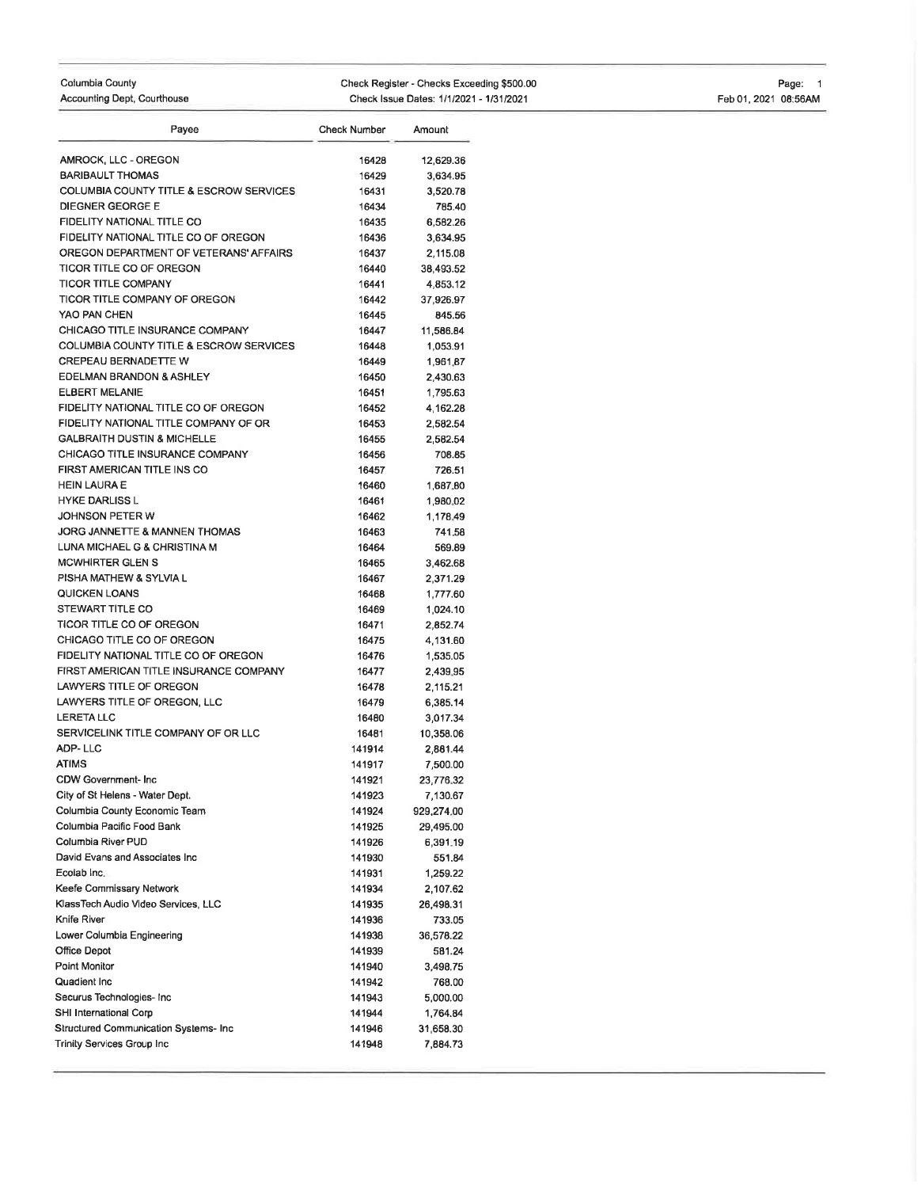## Columbia County

Accounting Dept, Courthouse

## Check Register - Checks Exceeding \$500.00 Check Issue Dates: 1/1/2021 - 1/31/2021

Page: <sup>1</sup> Feb01,2021 08:56AM

| Payee                                              | <b>Check Number</b> | Amount     |
|----------------------------------------------------|---------------------|------------|
| AMROCK, LLC - OREGON                               | 16428               | 12,629.36  |
| <b>BARIBAULT THOMAS</b>                            | 16429               | 3,634.95   |
| COLUMBIA COUNTY TITLE & ESCROW SERVICES            | 16431               | 3,520.78   |
| <b>DIEGNER GEORGE E</b>                            | 16434               | 785.40     |
| FIDELITY NATIONAL TITLE CO                         | 16435               | 6,582.26   |
| FIDELITY NATIONAL TITLE CO OF OREGON               | 16436               | 3,634.95   |
| OREGON DEPARTMENT OF VETERANS' AFFAIRS             | 16437               | 2,115.08   |
| TICOR TITLE CO OF OREGON                           | 16440               | 38,493.52  |
| <b>TICOR TITLE COMPANY</b>                         | 16441               | 4,853.12   |
| TICOR TITLE COMPANY OF OREGON                      | 16442               | 37,926.97  |
| YAO PAN CHEN                                       | 16445               | 845.56     |
| CHICAGO TITLE INSURANCE COMPANY                    | 16447               | 11,586.84  |
| <b>COLUMBIA COUNTY TITLE &amp; ESCROW SERVICES</b> | 16448               | 1,053.91   |
| <b>CREPEAU BERNADETTE W</b>                        | 16449               | 1,961.87   |
| EDELMAN BRANDON & ASHLEY                           | 16450               | 2,430.63   |
| <b>ELBERT MELANIE</b>                              | 16451               | 1,795.63   |
| FIDELITY NATIONAL TITLE CO OF OREGON               | 16452               | 4,162.28   |
| FIDELITY NATIONAL TITLE COMPANY OF OR              | 16453               | 2,582.54   |
| <b>GALBRAITH DUSTIN &amp; MICHELLE</b>             | 16455               | 2,582.54   |
| CHICAGO TITLE INSURANCE COMPANY                    | 16456               | 708.85     |
| FIRST AMERICAN TITLE INS CO                        | 16457               | 726.51     |
| <b>HEIN LAURA E</b>                                | 16460               | 1,687.80   |
| <b>HYKE DARLISS L</b>                              | 16461               | 1,980.02   |
| JOHNSON PETER W                                    | 16462               | 1,178,49   |
| JORG JANNETTE & MANNEN THOMAS                      | 16463               | 741.58     |
| LUNA MICHAEL G & CHRISTINA M                       | 16464               | 569.89     |
| <b>MCWHIRTER GLEN S</b>                            | 16465               | 3,462.68   |
| PISHA MATHEW & SYLVIA L                            | 16467               | 2,371.29   |
| QUICKEN LOANS                                      | 16468               | 1,777.60   |
| STEWART TITLE CO                                   | 16469               | 1,024.10   |
| TICOR TITLE CO OF OREGON                           | 16471               | 2,852.74   |
| CHICAGO TITLE CO OF OREGON                         | 16475               | 4,131.60   |
| FIDELITY NATIONAL TITLE CO OF OREGON               | 16476               | 1,535.05   |
| FIRST AMERICAN TITLE INSURANCE COMPANY             | 16477               | 2,439.95   |
| LAWYERS TITLE OF OREGON                            | 16478               | 2,115.21   |
| LAWYERS TITLE OF OREGON, LLC                       | 16479               | 6,385.14   |
| <b>LERETA LLC</b>                                  | 16480               | 3,017.34   |
| SERVICELINK TITLE COMPANY OF OR LLC                | 16481               | 10,358.06  |
| ADP-LLC                                            | 141914              | 2,881.44   |
| <b>ATIMS</b>                                       | 141917              | 7,500.00   |
| CDW Government- Inc                                | 141921              | 23,776.32  |
| City of St Helens - Water Dept.                    | 141923              | 7,130.67   |
| Columbia County Economic Team                      | 141924              | 929,274.00 |
| Columbia Pacific Food Bank                         | 141925              | 29,495.00  |
| Columbia River PUD                                 | 141926              | 6,391.19   |
| David Evans and Associates Inc                     | 141930              | 551.84     |
| Ecolab Inc.                                        | 141931              | 1,259.22   |
| Keefe Commissary Network                           | 141934              | 2,107.62   |
| KlassTech Audio Video Services, LLC                | 141935              | 26,498.31  |
| Knife River                                        | 141936              | 733.05     |
| Lower Columbia Engineering                         | 141938              | 36,578.22  |
| Office Depot                                       | 141939              | 581.24     |
| Point Monitor                                      | 141940              | 3,498.75   |
| Quadient Inc                                       | 141942              | 768.00     |
| Securus Technologies- Inc                          | 141943              | 5,000.00   |
| SHI International Corp                             | 141944              | 1,764.84   |
| Structured Communication Systems- Inc              | 141946              | 31,658.30  |
| Trinity Services Group Inc                         | 141948              | 7,884.73   |
|                                                    |                     |            |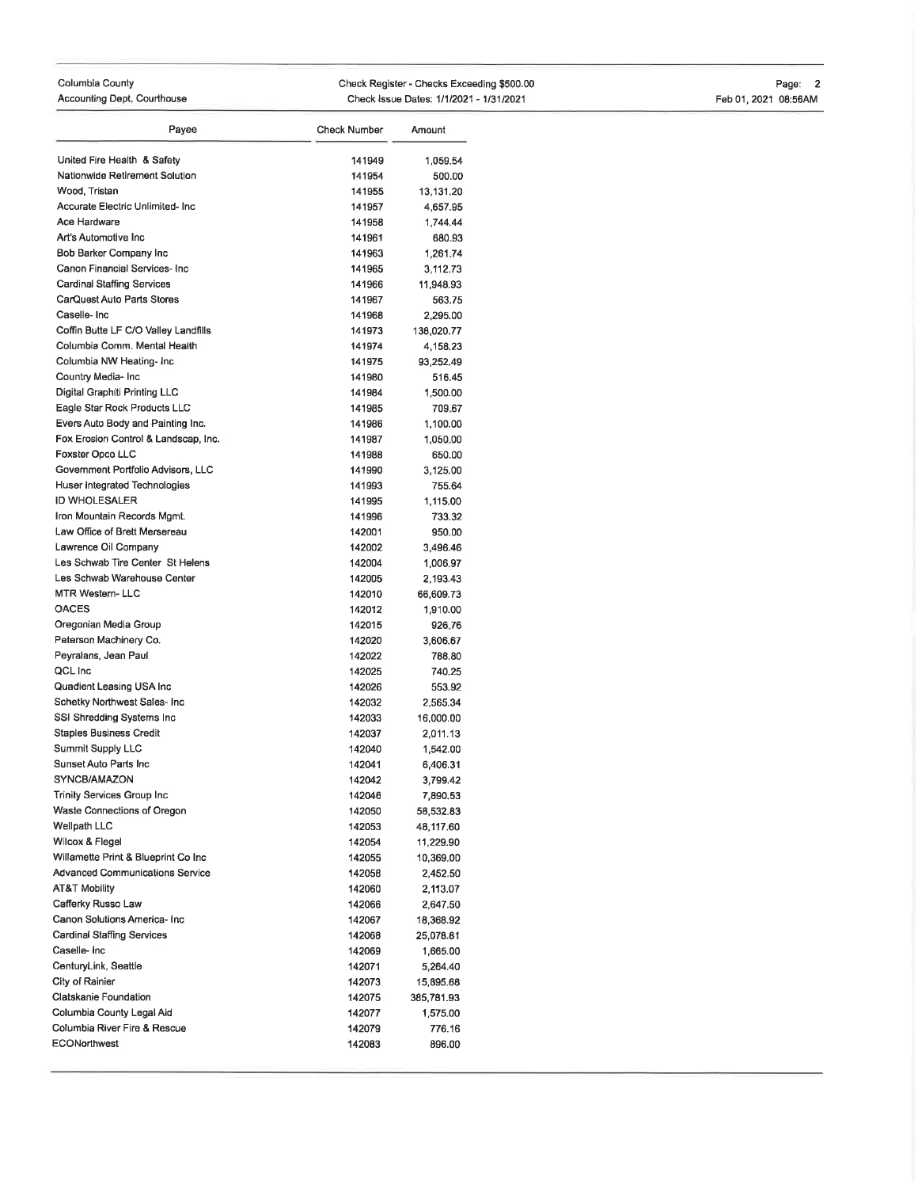## Columbia County Accounting Dept, Courthouse Check Register - Checks Exceeding \$500.00 Check lssue Dales:11112021 - 113112021 Page: 2 Feb01,2021 08:56AM

| Payee                                        | Check Number | Amount     |
|----------------------------------------------|--------------|------------|
| United Fire Health & Safety                  | 141949       | 1.059.54   |
| Nationwide Retirement Solution               | 141954       | 500.00     |
| Wood, Tristan                                | 141955       | 13,131.20  |
| Accurate Electric Unlimited-Inc.             | 141957       | 4,657.95   |
| Ace Hardware                                 | 141958       | 1,744.44   |
| Art's Automotive Inc.                        | 141961       | 680.93     |
| Bob Barker Company Inc                       | 141963       | 1,261.74   |
| Canon Financial Services- Inc.               | 141965       | 3,112.73   |
| <b>Cardinal Staffing Services</b>            | 141966       | 11,948.93  |
| CarQuest Auto Parts Stores                   | 141967       | 563.75     |
| Caselle-Inc                                  | 141968       | 2,295.00   |
| Coffin Butte LF C/O Valley Landfills         | 141973       | 138,020.77 |
| Columbia Comm, Mental Health                 | 141974       | 4,158.23   |
| Columbia NW Heating-Inc                      | 141975       | 93,252.49  |
| Country Media- Inc                           | 141980       | 516.45     |
| Digital Graphiti Printing LLC                | 141984       | 1,500.00   |
| Eagle Star Rock Products LLC                 | 141985       | 709.67     |
| Evers Auto Body and Painting Inc.            | 141986       | 1,100.00   |
| Fox Erosion Control & Landscap, Inc.         | 141987       | 1,050.00   |
| <b>Foxster Opco LLC</b>                      | 141988       | 650.00     |
| Government Portfolio Advisors, LLC           | 141990       | 3,125.00   |
| Huser Integrated Technologies                | 141993       | 755.64     |
| <b>ID WHOLESALER</b>                         | 141995       | 1,115.00   |
| Iron Mountain Records Mamt.                  | 141996       | 733.32     |
| Law Office of Brett Mersereau                | 142001       | 950.00     |
| Lawrence Oil Company                         | 142002       | 3,496.46   |
| Les Schwab Tire Center St Helens             | 142004       | 1,006.97   |
| Les Schwab Warehouse Center                  | 142005       | 2,193.43   |
| <b>MTR Western-LLC</b>                       | 142010       | 66,609.73  |
| <b>OACES</b>                                 | 142012       | 1,910.00   |
| Oregonian Media Group                        | 142015       | 926.76     |
| Peterson Machinery Co.                       | 142020       | 3,606.67   |
| Peyralans, Jean Paul                         | 142022       | 788.80     |
| QCL Inc                                      | 142025       | 740.25     |
| Quadient Leasing USA Inc                     | 142026       | 553.92     |
| Schetky Northwest Sales- Inc                 | 142032       | 2,565.34   |
| SSI Shredding Systems Inc                    | 142033       | 16,000.00  |
| Staples Business Credit                      | 142037       | 2,011.13   |
| Summit Supply LLC                            | 142040       | 1,542.00   |
| Sunset Auto Parts Inc.                       | 142041       | 6,406.31   |
| SYNCB/AMAZON                                 | 142042       | 3,799.42   |
| <b>Trinity Services Group Inc.</b>           | 142046       | 7,890.53   |
| Waste Connections of Oregon                  | 142050       | 58,532.83  |
| Wellpath LLC                                 | 142053       | 48,117.60  |
| Wilcox & Flegel                              | 142054       | 11,229.90  |
| Willamette Print & Blueprint Co Inc          | 142055       | 10,369.00  |
| Advanced Communications Service              | 142058       | 2,452.50   |
| AT&T Mobility                                | 142060       | 2,113.07   |
| Cafferky Russo Law                           | 142066       | 2,647.50   |
| Canon Solutions America- Inc                 | 142067       | 18,368.92  |
| Cardinal Staffing Services                   | 142068       | 25,078.81  |
| Caselle- Inc                                 | 142069       | 1,665.00   |
| CenturyLink, Seattle                         | 142071       | 5,264.40   |
| City of Rainier                              | 142073       | 15,895.68  |
| Clatskanie Foundation                        | 142075       | 385,781.93 |
| Columbia County Legal Aid                    | 142077       | 1,575.00   |
| Columbia River Fire & Rescue<br>ECONorthwest | 142079       | 776.16     |
|                                              | 142083       | 896.00     |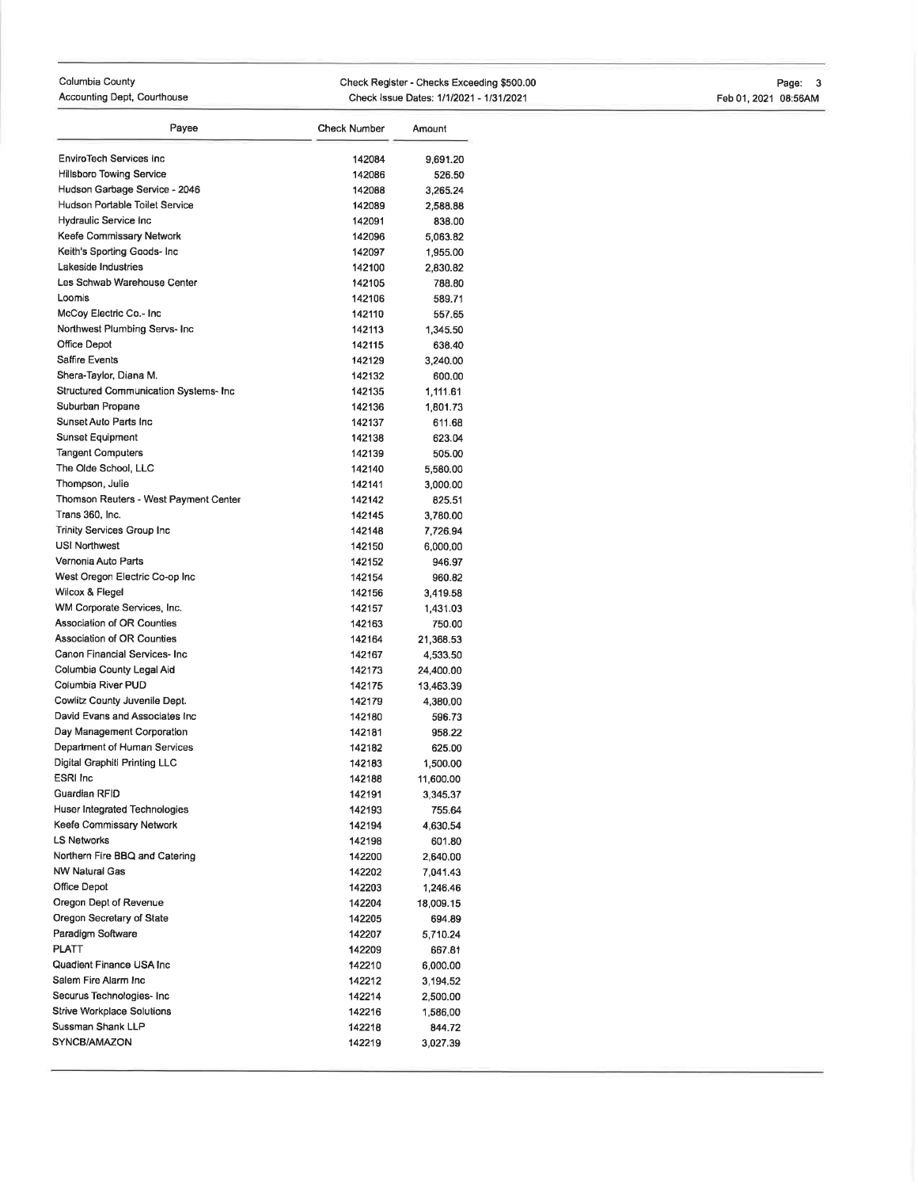## Columbia County

Accounting Dept, Gourthouse

Check Register - Checks Exceeding \$500.00 Check Issue Dates: 1/1/2021 - 1/31/2021

| Payee                                  | Check Number | Amount    |
|----------------------------------------|--------------|-----------|
| <b>EnviroTech Services Inc</b>         | 142084       | 9,691.20  |
| <b>Hillsboro Towing Service</b>        | 142086       | 526.50    |
| Hudson Garbage Service - 2046          | 142088       | 3,265.24  |
| Hudson Portable Toilet Service         | 142089       | 2,588.88  |
| Hydraulic Service Inc                  | 142091       | 838.00    |
| Keefe Commissary Network               | 142096       | 5,063.82  |
| Keith's Sporting Goods- Inc            | 142097       | 1,955.00  |
| Lakeside Industries                    | 142100       | 2,830.82  |
| Les Schwab Warehouse Center            | 142105       | 788.80    |
| Loomis                                 | 142106       | 589.71    |
| McCoy Electric Co.- Inc.               | 142110       | 557.65    |
| Northwest Plumbing Servs- Inc.         | 142113       | 1,345.50  |
| Office Depot                           | 142115       | 638.40    |
| Saffire Events                         | 142129       | 3,240.00  |
| Shera-Taylor, Diana M.                 | 142132       | 600.00    |
| Structured Communication Systems- Inc. | 142135       | 1,111.61  |
| Suburban Propane                       | 142136       | 1,801.73  |
| Sunset Auto Parts Inc                  | 142137       | 611.68    |
| <b>Sunset Equipment</b>                | 142138       | 623.04    |
| <b>Tangent Computers</b>               | 142139       | 505.00    |
| The Olde School, LLC                   | 142140       | 5,580.00  |
| Thompson, Julie                        | 142141       | 3,000.00  |
| Thomson Reuters - West Payment Center  | 142142       | 825.51    |
| Trans 360, Inc.                        | 142145       | 3,780.00  |
| <b>Trinity Services Group Inc.</b>     | 142148       | 7,726.94  |
| <b>USI Northwest</b>                   | 142150       | 6,000.00  |
| Vernonia Auto Parts                    | 142152       | 946.97    |
| West Oregon Electric Co-op Inc         | 142154       | 960.82    |
| Wilcox & Flegel                        | 142156       | 3,419.58  |
| WM Corporate Services, Inc.            | 142157       | 1,431.03  |
| Association of OR Counties             | 142163       | 750.00    |
| <b>Association of OR Counties</b>      | 142164       | 21,368.53 |
| Canon Financial Services- Inc.         | 142167       | 4,533.50  |
| Columbia County Legal Aid              | 142173       | 24,400.00 |
| Columbia River PUD                     | 142175       | 13,463.39 |
| Cowlitz County Juvenile Dept.          | 142179       | 4,380.00  |
| David Evans and Associates Inc.        | 142180       | 596.73    |
| Day Management Corporation             | 142181       | 958.22    |
| Department of Human Services           | 142182       | 625.00    |
| Digital Graphiti Printing LLC          | 142183       | 1,500.00  |
| <b>ESRI</b> Inc                        | 142188       | 11,600.00 |
| Guardian RFID                          | 142191       | 3,345.37  |
| Huser Integrated Technologies          | 142193       | 755.64    |
| Keefe Commissary Network               | 142194       | 4,630.54  |
| <b>LS Networks</b>                     | 142198       | 601.80    |
| Northern Fire BBQ and Catering         | 142200       | 2,640.00  |
| NW Natural Gas                         | 142202       | 7,041.43  |
| Office Depot                           | 142203       | 1,246.46  |
| Oregon Dept of Revenue                 | 142204       | 18,009.15 |
| Oregon Secretary of State              | 142205       | 694.89    |
| Paradigm Software                      | 142207       | 5,710.24  |
| PLATT                                  | 142209       | 667.81    |
| Quadient Finance USA Inc               | 142210       | 6,000.00  |
| Salem Fire Alarm Inc                   | 142212       | 3,194.52  |
| Securus Technologies- Inc              | 142214       | 2,500.00  |
| Strive Workplace Solutions             | 142216       | 1,586.00  |
| Sussman Shank LLP                      | 142218       | 844.72    |
| SYNCB/AMAZON                           | 142219       | 3,027.39  |